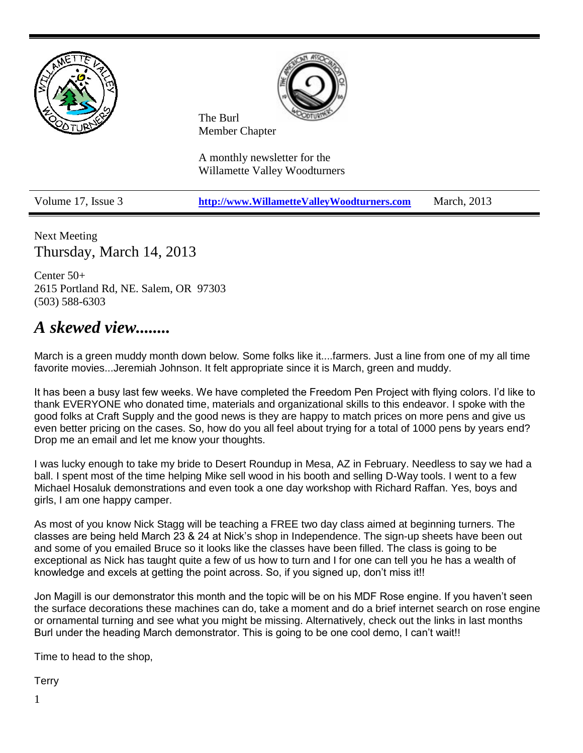

Next Meeting Thursday, March 14, 2013

Center 50+ 2615 Portland Rd, NE. Salem, OR 97303 (503) 588-6303

## *A skewed view........*

March is a green muddy month down below. Some folks like it....farmers. Just a line from one of my all time favorite movies...Jeremiah Johnson. It felt appropriate since it is March, green and muddy.

It has been a busy last few weeks. We have completed the Freedom Pen Project with flying colors. I'd like to thank EVERYONE who donated time, materials and organizational skills to this endeavor. I spoke with the good folks at Craft Supply and the good news is they are happy to match prices on more pens and give us even better pricing on the cases. So, how do you all feel about trying for a total of 1000 pens by years end? Drop me an email and let me know your thoughts.

I was lucky enough to take my bride to Desert Roundup in Mesa, AZ in February. Needless to say we had a ball. I spent most of the time helping Mike sell wood in his booth and selling D-Way tools. I went to a few Michael Hosaluk demonstrations and even took a one day workshop with Richard Raffan. Yes, boys and girls, I am one happy camper.

As most of you know Nick Stagg will be teaching a FREE two day class aimed at beginning turners. The classes are being held March 23 & 24 at Nick's shop in Independence. The sign-up sheets have been out and some of you emailed Bruce so it looks like the classes have been filled. The class is going to be exceptional as Nick has taught quite a few of us how to turn and I for one can tell you he has a wealth of knowledge and excels at getting the point across. So, if you signed up, don't miss it!!

Jon Magill is our demonstrator this month and the topic will be on his MDF Rose engine. If you haven't seen the surface decorations these machines can do, take a moment and do a brief internet search on rose engine or ornamental turning and see what you might be missing. Alternatively, check out the links in last months Burl under the heading March demonstrator. This is going to be one cool demo, I can't wait!!

Time to head to the shop,

**Terry**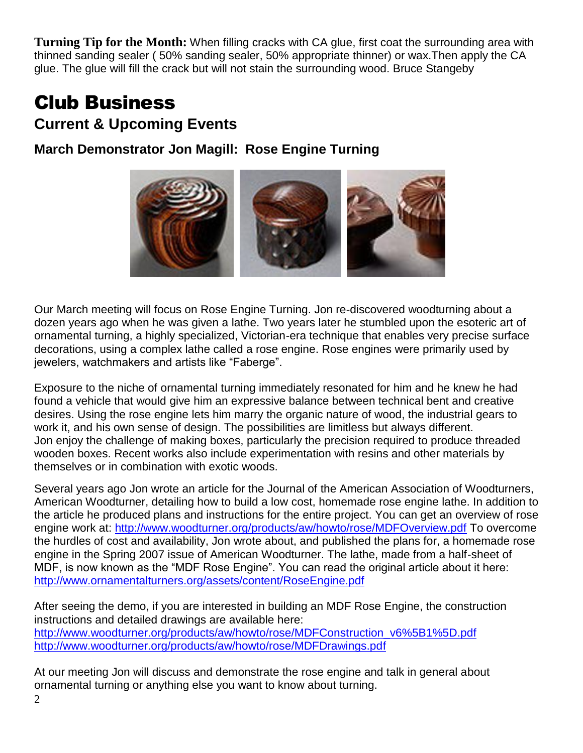**Turning Tip for the Month:** When filling cracks with CA glue, first coat the surrounding area with thinned sanding sealer ( 50% sanding sealer, 50% appropriate thinner) or wax.Then apply the CA glue. The glue will fill the crack but will not stain the surrounding wood. Bruce Stangeby

# Club Business

## **Current & Upcoming Events**

## **March Demonstrator Jon Magill: Rose Engine Turning**



Our March meeting will focus on Rose Engine Turning. Jon re-discovered woodturning about a dozen years ago when he was given a lathe. Two years later he stumbled upon the esoteric art of ornamental turning, a highly specialized, Victorian-era technique that enables very precise surface decorations, using a complex lathe called a rose engine. Rose engines were primarily used by jewelers, watchmakers and artists like "Faberge".

Exposure to the niche of ornamental turning immediately resonated for him and he knew he had found a vehicle that would give him an expressive balance between technical bent and creative desires. Using the rose engine lets him marry the organic nature of wood, the industrial gears to work it, and his own sense of design. The possibilities are limitless but always different. Jon enjoy the challenge of making boxes, particularly the precision required to produce threaded wooden boxes. Recent works also include experimentation with resins and other materials by themselves or in combination with exotic woods.

Several years ago Jon wrote an article for the Journal of the American Association of Woodturners, American Woodturner, detailing how to build a low cost, homemade rose engine lathe. In addition to the article he produced plans and instructions for the entire project. You can get an overview of rose engine work at:<http://www.woodturner.org/products/aw/howto/rose/MDFOverview.pdf> To overcome the hurdles of cost and availability, Jon wrote about, and published the plans for, a homemade rose engine in the Spring 2007 issue of American Woodturner. The lathe, made from a half-sheet of MDF, is now known as the "MDF Rose Engine". You can read the original article about it here: <http://www.ornamentalturners.org/assets/content/RoseEngine.pdf>

After seeing the demo, if you are interested in building an MDF Rose Engine, the construction instructions and detailed drawings are available here: [http://www.woodturner.org/products/aw/howto/rose/MDFConstruction\\_v6%5B1%5D.pdf](http://www.woodturner.org/products/aw/howto/rose/MDFConstruction_v6%5B1%5D.pdf)  <http://www.woodturner.org/products/aw/howto/rose/MDFDrawings.pdf>

At our meeting Jon will discuss and demonstrate the rose engine and talk in general about ornamental turning or anything else you want to know about turning.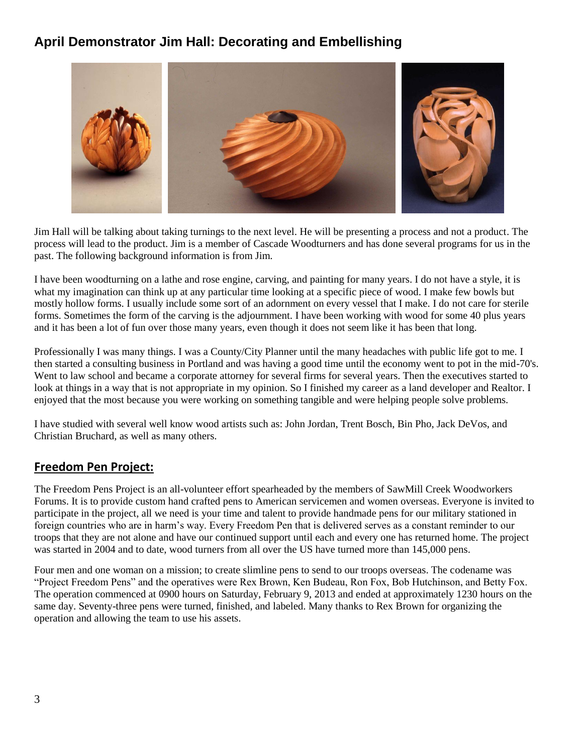## **April Demonstrator Jim Hall: Decorating and Embellishing**



Jim Hall will be talking about taking turnings to the next level. He will be presenting a process and not a product. The process will lead to the product. Jim is a member of Cascade Woodturners and has done several programs for us in the past. The following background information is from Jim.

I have been woodturning on a lathe and rose engine, carving, and painting for many years. I do not have a style, it is what my imagination can think up at any particular time looking at a specific piece of wood. I make few bowls but mostly hollow forms. I usually include some sort of an adornment on every vessel that I make. I do not care for sterile forms. Sometimes the form of the carving is the adjournment. I have been working with wood for some 40 plus years and it has been a lot of fun over those many years, even though it does not seem like it has been that long.

Professionally I was many things. I was a County/City Planner until the many headaches with public life got to me. I then started a consulting business in Portland and was having a good time until the economy went to pot in the mid-70's. Went to law school and became a corporate attorney for several firms for several years. Then the executives started to look at things in a way that is not appropriate in my opinion. So I finished my career as a land developer and Realtor. I enjoyed that the most because you were working on something tangible and were helping people solve problems.

I have studied with several well know wood artists such as: John Jordan, Trent Bosch, Bin Pho, Jack DeVos, and Christian Bruchard, as well as many others.

#### **Freedom Pen Project:**

The Freedom Pens Project is an all-volunteer effort spearheaded by the members of SawMill Creek Woodworkers Forums. It is to provide custom hand crafted pens to American servicemen and women overseas. Everyone is invited to participate in the project, all we need is your time and talent to provide handmade pens for our military stationed in foreign countries who are in harm's way. Every Freedom Pen that is delivered serves as a constant reminder to our troops that they are not alone and have our continued support until each and every one has returned home. The project was started in 2004 and to date, wood turners from all over the US have turned more than 145,000 pens.

Four men and one woman on a mission; to create slimline pens to send to our troops overseas. The codename was "Project Freedom Pens" and the operatives were Rex Brown, Ken Budeau, Ron Fox, Bob Hutchinson, and Betty Fox. The operation commenced at 0900 hours on Saturday, February 9, 2013 and ended at approximately 1230 hours on the same day. Seventy-three pens were turned, finished, and labeled. Many thanks to Rex Brown for organizing the operation and allowing the team to use his assets.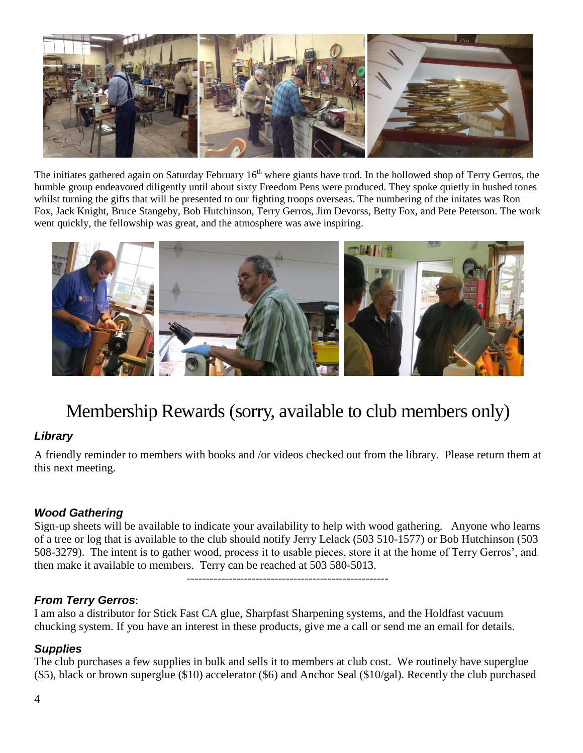

The initiates gathered again on Saturday February  $16<sup>th</sup>$  where giants have trod. In the hollowed shop of Terry Gerros, the humble group endeavored diligently until about sixty Freedom Pens were produced. They spoke quietly in hushed tones whilst turning the gifts that will be presented to our fighting troops overseas. The numbering of the initates was Ron Fox, Jack Knight, Bruce Stangeby, Bob Hutchinson, Terry Gerros, Jim Devorss, Betty Fox, and Pete Peterson. The work went quickly, the fellowship was great, and the atmosphere was awe inspiring.



# Membership Rewards (sorry, available to club members only)

#### *Library*

A friendly reminder to members with books and /or videos checked out from the library. Please return them at this next meeting.

#### *Wood Gathering*

Sign-up sheets will be available to indicate your availability to help with wood gathering. Anyone who learns of a tree or log that is available to the club should notify Jerry Lelack (503 510-1577) or Bob Hutchinson (503 508-3279). The intent is to gather wood, process it to usable pieces, store it at the home of Terry Gerros', and then make it available to members. Terry can be reached at 503 580-5013.

-----------------------------------------------------

#### *From Terry Gerros*:

I am also a distributor for Stick Fast CA glue, Sharpfast Sharpening systems, and the Holdfast vacuum chucking system. If you have an interest in these products, give me a call or send me an email for details.

#### *Supplies*

The club purchases a few supplies in bulk and sells it to members at club cost. We routinely have superglue (\$5), black or brown superglue (\$10) accelerator (\$6) and Anchor Seal (\$10/gal). Recently the club purchased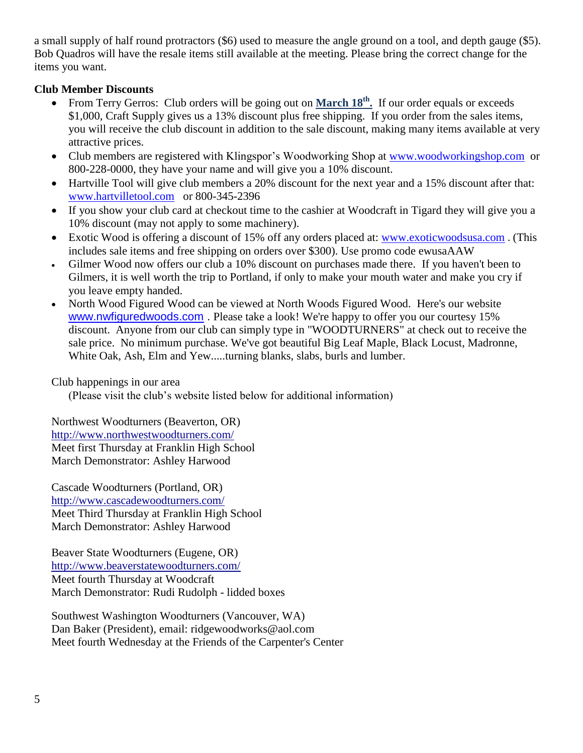a small supply of half round protractors (\$6) used to measure the angle ground on a tool, and depth gauge (\$5). Bob Quadros will have the resale items still available at the meeting. Please bring the correct change for the items you want.

#### **Club Member Discounts**

- From Terry Gerros: Club orders will be going out on **March 18<sup>th</sup>**. If our order equals or exceeds \$1,000, Craft Supply gives us a 13% discount plus free shipping. If you order from the sales items, you will receive the club discount in addition to the sale discount, making many items available at very attractive prices.
- Club members are registered with Klingspor's Woodworking Shop at [www.woodworkingshop.com](http://www.woodworkingshop.com/) or 800-228-0000, they have your name and will give you a 10% discount.
- Hartville Tool will give club members a 20% discount for the next year and a 15% discount after that: [www.hartvilletool.com](http://www.hartvilletool.com/) or 800-345-2396
- If you show your club card at checkout time to the cashier at Woodcraft in Tigard they will give you a 10% discount (may not apply to some machinery).
- Exotic Wood is offering a discount of 15% off any orders placed at: [www.exoticwoodsusa.com](http://www.exoticwoodsusa.com/) . (This includes sale items and free shipping on orders over \$300). Use promo code ewusaAAW
- Gilmer Wood now offers our club a 10% discount on purchases made there. If you haven't been to Gilmers, it is well worth the trip to Portland, if only to make your mouth water and make you cry if you leave empty handed.
- North Wood Figured Wood can be viewed at North Woods Figured Wood. Here's our website [www.nwfiguredwoods.com](http://www.nwfiguredwoods.com/) . Please take a look! We're happy to offer you our courtesy 15% discount. Anyone from our club can simply type in "WOODTURNERS" at check out to receive the sale price. No minimum purchase. We've got beautiful Big Leaf Maple, Black Locust, Madronne, White Oak, Ash, Elm and Yew.....turning blanks, slabs, burls and lumber.

#### Club happenings in our area

(Please visit the club's website listed below for additional information)

Northwest Woodturners (Beaverton, OR) <http://www.northwestwoodturners.com/> Meet first Thursday at Franklin High School March Demonstrator: Ashley Harwood

Cascade Woodturners (Portland, OR) <http://www.cascadewoodturners.com/> Meet Third Thursday at Franklin High School March Demonstrator: Ashley Harwood

Beaver State Woodturners (Eugene, OR) <http://www.beaverstatewoodturners.com/> Meet fourth Thursday at Woodcraft March Demonstrator: Rudi Rudolph - lidded boxes

Southwest Washington Woodturners (Vancouver, WA) Dan Baker (President), email: [ridgewoodworks@aol.com](mailto:ridgewoodworks@aol.com) Meet fourth Wednesday at the Friends of the Carpenter's Center